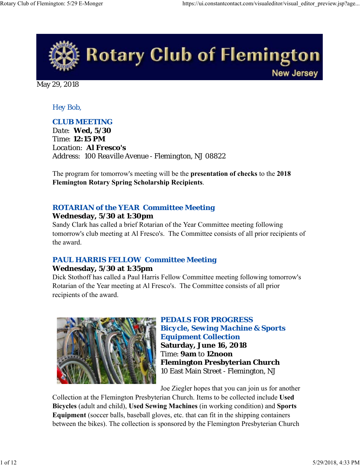

May 29, 2018

#### *Hey Bob,*

## *CLUB MEETING*

*Date: Wed, 5/30 Time: 12:15 PM Location: Al Fresco's Address: 100 Reaville Avenue - Flemington, NJ 08822*

The program for tomorrow's meeting will be the **presentation of checks** to the **2018 Flemington Rotary Spring Scholarship Recipients**.

## *ROTARIAN of the YEAR Committee Meeting*

#### **Wednesday, 5/30 at 1:30pm**

Sandy Clark has called a brief Rotarian of the Year Committee meeting following tomorrow's club meeting at Al Fresco's. The Committee consists of all prior recipients of the award.

## *PAUL HARRIS FELLOW Committee Meeting*

#### **Wednesday, 5/30 at 1:35pm**

Dick Stothoff has called a Paul Harris Fellow Committee meeting following tomorrow's Rotarian of the Year meeting at Al Fresco's. The Committee consists of all prior recipients of the award.



#### *PEDALS FOR PROGRESS Bicycle, Sewing Machine & Sports Equipment Collection*

**Saturday, June 16, 2018** Time: **9am** to **12noon Flemington Presbyterian Church** 10 East Main Street - Flemington, NJ

Joe Ziegler hopes that you can join us for another

Collection at the Flemington Presbyterian Church. Items to be collected include **Used Bicycles** (adult and child), **Used Sewing Machines** (in working condition) and **Sports Equipment** (soccer balls, baseball gloves, etc. that can fit in the shipping containers between the bikes). The collection is sponsored by the Flemington Presbyterian Church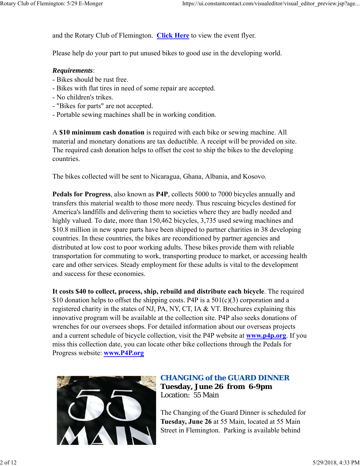and the Rotary Club of Flemington. **Click Here** to view the event flyer.

Please help do your part to put unused bikes to good use in the developing world.

#### *Requirements*:

- Bikes should be rust free.
- Bikes with flat tires in need of some repair are accepted.
- No children's trikes.
- "Bikes for parts" are not accepted.
- Portable sewing machines shall be in working condition.

A **\$10 minimum cash donation** is required with each bike or sewing machine. All material and monetary donations are tax deductible. A receipt will be provided on site. The required cash donation helps to offset the cost to ship the bikes to the developing countries.

The bikes collected will be sent to Nicaragua, Ghana, Albania, and Kosovo.

**Pedals for Progress**, also known as **P4P**, collects 5000 to 7000 bicycles annually and transfers this material wealth to those more needy. Thus rescuing bicycles destined for America's landfills and delivering them to societies where they are badly needed and highly valued. To date, more than 150,462 bicycles, 3,735 used sewing machines and \$10.8 million in new spare parts have been shipped to partner charities in 38 developing countries. In these countries, the bikes are reconditioned by partner agencies and distributed at low cost to poor working adults. These bikes provide them with reliable transportation for commuting to work, transporting produce to market, or accessing health care and other services. Steady employment for these adults is vital to the development and success for these economies.

**It costs \$40 to collect, process, ship, rebuild and distribute each bicycle**. The required \$10 donation helps to offset the shipping costs. P4P is a  $501(c)(3)$  corporation and a registered charity in the states of NJ, PA, NY, CT, IA & VT. Brochures explaining this innovative program will be available at the collection site. P4P also seeks donations of wrenches for our oversees shops. For detailed information about our overseas projects and a current schedule of bicycle collection, visit the P4P website at **www.p4p.org**. If you miss this collection date, you can locate other bike collections through the Pedals for Progress website: **www.P4P.org**



## *CHANGING of the GUARD DINNER* **Tuesday, June 26 from 6-9pm** Location: 55 Main

The Changing of the Guard Dinner is scheduled for **Tuesday, June 26** at 55 Main, located at 55 Main Street in Flemington. Parking is available behind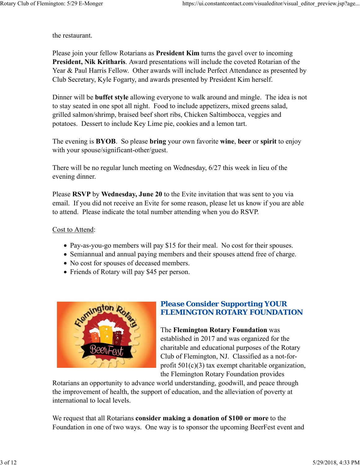the restaurant.

Please join your fellow Rotarians as **President Kim** turns the gavel over to incoming **President, Nik Kritharis**. Award presentations will include the coveted Rotarian of the Year & Paul Harris Fellow. Other awards will include Perfect Attendance as presented by Club Secretary, Kyle Fogarty, and awards presented by President Kim herself.

Dinner will be **buffet style** allowing everyone to walk around and mingle. The idea is not to stay seated in one spot all night. Food to include appetizers, mixed greens salad, grilled salmon/shrimp, braised beef short ribs, Chicken Saltimbocca, veggies and potatoes. Dessert to include Key Lime pie, cookies and a lemon tart.

The evening is **BYOB**. So please **bring** your own favorite **wine**, **beer** or **spirit** to enjoy with your spouse/significant-other/guest.

There will be no regular lunch meeting on Wednesday, 6/27 this week in lieu of the evening dinner.

Please **RSVP** by **Wednesday, June 20** to the Evite invitation that was sent to you via email. If you did not receive an Evite for some reason, please let us know if you are able to attend. Please indicate the total number attending when you do RSVP.

#### Cost to Attend:

- Pay-as-you-go members will pay \$15 for their meal. No cost for their spouses.
- Semiannual and annual paying members and their spouses attend free of charge.
- No cost for spouses of deceased members.
- Friends of Rotary will pay \$45 per person.



## *Please Consider Supporting YOUR FLEMINGTON ROTARY FOUNDATION*

The **Flemington Rotary Foundation** was established in 2017 and was organized for the charitable and educational purposes of the Rotary Club of Flemington, NJ. Classified as a not-forprofit  $501(c)(3)$  tax exempt charitable organization, the Flemington Rotary Foundation provides

Rotarians an opportunity to advance world understanding, goodwill, and peace through the improvement of health, the support of education, and the alleviation of poverty at international to local levels.

We request that all Rotarians **consider making a donation of \$100 or more** to the Foundation in one of two ways. One way is to sponsor the upcoming BeerFest event and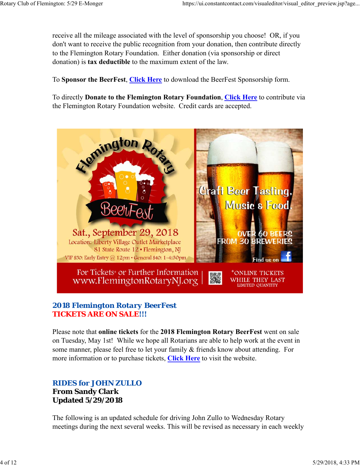receive all the mileage associated with the level of sponsorship you choose! OR, if you don't want to receive the public recognition from your donation, then contribute directly to the Flemington Rotary Foundation. Either donation (via sponsorship or direct donation) is **tax deductible** to the maximum extent of the law.

To **Sponsor the BeerFest**, **Click Here** to download the BeerFest Sponsorship form.

To directly **Donate to the Flemington Rotary Foundation**, **Click Here** to contribute via the Flemington Rotary Foundation website. Credit cards are accepted.



## *2018 Flemington Rotary BeerFest TICKETS ARE ON SALE!!!*

Please note that **online tickets** for the **2018 Flemington Rotary BeerFest** went on sale on Tuesday, May 1st! While we hope all Rotarians are able to help work at the event in some manner, please feel free to let your family & friends know about attending. For more information or to purchase tickets, **Click Here** to visit the website.

## *RIDES for JOHN ZULLO* **From Sandy Clark Updated 5/29/2018**

The following is an updated schedule for driving John Zullo to Wednesday Rotary meetings during the next several weeks. This will be revised as necessary in each weekly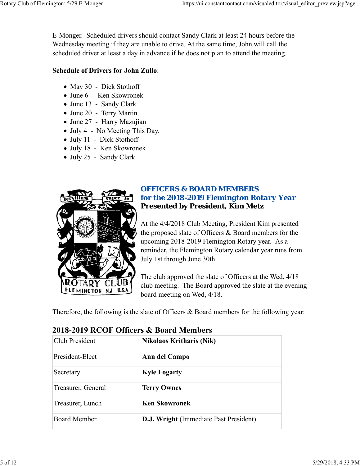E-Monger. Scheduled drivers should contact Sandy Clark at least 24 hours before the Wednesday meeting if they are unable to drive. At the same time, John will call the scheduled driver at least a day in advance if he does not plan to attend the meeting.

#### **Schedule of Drivers for John Zullo**:

- May 30 Dick Stothoff
- June 6 Ken Skowronek
- June 13 Sandy Clark
- June 20 Terry Martin
- June 27 Harry Mazujian
- July 4 No Meeting This Day.
- July 11 Dick Stothoff
- July 18 Ken Skowronek
- July 25 Sandy Clark



## *OFFICERS & BOARD MEMBERS for the 2018-2019 Flemington Rotary Year* **Presented by President, Kim Metz**

At the 4/4/2018 Club Meeting, President Kim presented the proposed slate of Officers & Board members for the upcoming 2018-2019 Flemington Rotary year. As a reminder, the Flemington Rotary calendar year runs from July 1st through June 30th.

The club approved the slate of Officers at the Wed, 4/18 club meeting. The Board approved the slate at the evening board meeting on Wed, 4/18.

Therefore, the following is the slate of Officers & Board members for the following year:

| Club President      | <b>Nikolaos Kritharis (Nik)</b>               |  |
|---------------------|-----------------------------------------------|--|
| President-Elect     | Ann del Campo                                 |  |
| Secretary           | <b>Kyle Fogarty</b>                           |  |
| Treasurer, General  | <b>Terry Ownes</b>                            |  |
| Treasurer, Lunch    | <b>Ken Skowronek</b>                          |  |
| <b>Board Member</b> | <b>D.J. Wright (Immediate Past President)</b> |  |

## **2018-2019 RCOF Officers & Board Members**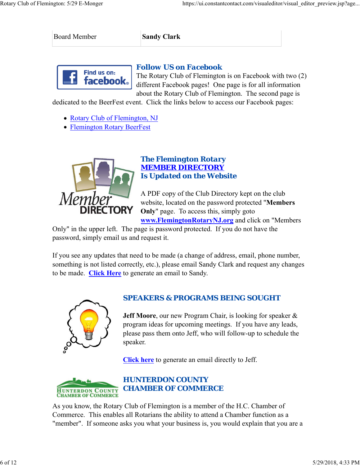Board Member **Sandy Clark** 



#### *Follow US on Facebook*

The Rotary Club of Flemington is on Facebook with two (2) different Facebook pages! One page is for all information about the Rotary Club of Flemington. The second page is

dedicated to the BeerFest event. Click the links below to access our Facebook pages:

- Rotary Club of Flemington, NJ
- Flemington Rotary BeerFest



## *The Flemington Rotary MEMBER DIRECTORY Is Updated on the Website*

A PDF copy of the Club Directory kept on the club website, located on the password protected "**Members Only**" page. To access this, simply goto

**www.FlemingtonRotaryNJ.org** and click on "Members

Only" in the upper left. The page is password protected. If you do not have the password, simply email us and request it.

If you see any updates that need to be made (a change of address, email, phone number, something is not listed correctly, etc.), please email Sandy Clark and request any changes to be made. **Click Here** to generate an email to Sandy.



## *SPEAKERS & PROGRAMS BEING SOUGHT*

**Jeff Moore**, our new Program Chair, is looking for speaker & program ideas for upcoming meetings. If you have any leads, please pass them onto Jeff, who will follow-up to schedule the speaker.

**Click here** to generate an email directly to Jeff.



As you know, the Rotary Club of Flemington is a member of the H.C. Chamber of Commerce. This enables all Rotarians the ability to attend a Chamber function as a "member". If someone asks you what your business is, you would explain that you are a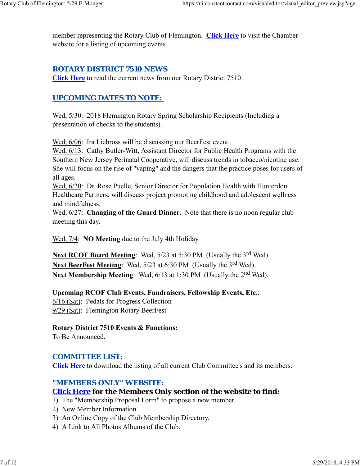member representing the Rotary Club of Flemington. **Click Here** to visit the Chamber website for a listing of upcoming events.

# *ROTARY DISTRICT 7510 NEWS*

**Click Here** to read the current news from our Rotary District 7510.

# *UPCOMING DATES TO NOTE:*

Wed, 5/30: 2018 Flemington Rotary Spring Scholarship Recipients (Including a presentation of checks to the students).

Wed, 6/06: Ira Liebross will be discussing our BeerFest event.

Wed, 6/13: Cathy Butler-Witt, Assistant Director for Public Health Programs with the Southern New Jersey Perinatal Cooperative, will discuss trends in tobacco/nicotine use. She will focus on the rise of "vaping" and the dangers that the practice poses for users of all ages.

Wed, 6/20: Dr. Rose Puelle, Senior Director for Population Health with Hunterdon Healthcare Partners, will discuss project promoting childhood and adolescent wellness and mindfulness.

Wed, 6/27: **Changing of the Guard Dinner**. Note that there is no noon regular club meeting this day.

Wed, 7/4: **NO Meeting** due to the July 4th Holiday.

**Next RCOF Board Meeting:** Wed, 5/23 at 5:30 PM (Usually the 3<sup>rd</sup> Wed). Next BeerFest Meeting: Wed, 5/23 at 6:30 PM (Usually the 3<sup>rd</sup> Wed). **Next Membership Meeting:** Wed, 6/13 at 1:30 PM (Usually the 2<sup>nd</sup> Wed).

**Upcoming RCOF Club Events, Fundraisers, Fellowship Events, Etc**.:

6/16 (Sat): Pedals for Progress Collection 9/29 (Sat): Flemington Rotary BeerFest

**Rotary District 7510 Events & Functions:**

To Be Announced.

# *COMMITTEE LIST:*

**Click Here** to download the listing of all current Club Committee's and its members.

# *"MEMBERS ONLY" WEBSITE:*

# **Click Here for the Members Only section of the website to find:**

- 1) The "Membership Proposal Form" to propose a new member.
- 2) New Member Information.
- 3) An Online Copy of the Club Membership Directory.
- 4) A Link to All Photos Albums of the Club.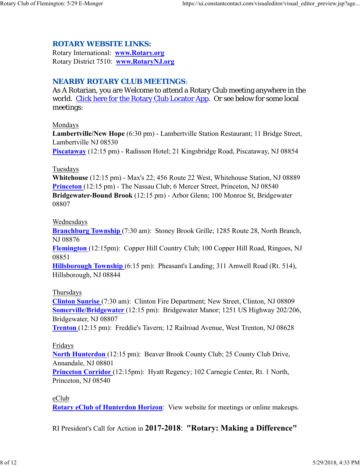#### *ROTARY WEBSITE LINKS:*

Rotary International: **www.Rotary.org** Rotary District 7510: **www.RotaryNJ.org**

#### *NEARBY ROTARY CLUB MEETINGS:*

As A Rotarian, you are Welcome to attend a Rotary Club meeting anywhere in the world. Click here for the Rotary Club Locator App. Or see below for some local meetings:

#### Mondays

**Lambertville/New Hope** (6:30 pm) - Lambertville Station Restaurant; 11 Bridge Street, Lambertville NJ 08530

**Piscataway** (12:15 pm) - Radisson Hotel; 21 Kingsbridge Road, Piscataway, NJ 08854

#### Tuesdays

**Whitehouse** (12:15 pm) - Max's 22; 456 Route 22 West, Whitehouse Station, NJ 08889 **Princeton** (12:15 pm) - The Nassau Club; 6 Mercer Street, Princeton, NJ 08540 **Bridgewater-Bound Brook** (12:15 pm) - Arbor Glenn; 100 Monroe St, Bridgewater 08807

#### Wednesdays

**Branchburg Township** (7:30 am): Stoney Brook Grille; 1285 Route 28, North Branch, NJ 08876

**Flemington** (12:15pm): Copper Hill Country Club; 100 Copper Hill Road, Ringoes, NJ 08851

**Hillsborough Township** (6:15 pm): Pheasant's Landing; 311 Amwell Road (Rt. 514), Hillsborough, NJ 08844

#### Thursdays

**Clinton Sunrise** (7:30 am): Clinton Fire Department; New Street, Clinton, NJ 08809 **Somerville/Bridgewater** (12:15 pm): Bridgewater Manor; 1251 US Highway 202/206, Bridgewater, NJ 08807

**Trenton** (12:15 pm): Freddie's Tavern; 12 Railroad Avenue, West Trenton, NJ 08628

#### Fridays

**North Hunterdon** (12:15 pm): Beaver Brook County Club; 25 County Club Drive, Annandale, NJ 08801

**Princeton Corridor** (12:15pm): Hyatt Regency; 102 Carnegie Center, Rt. 1 North, Princeton, NJ 08540

eClub

**Rotary eClub of Hunterdon Horizon**: View website for meetings or online makeups.

RI President's Call for Action in **2017-2018**: **"Rotary: Making a Difference"**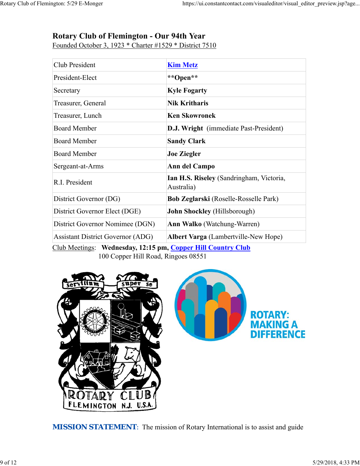# **Rotary Club of Flemington - Our 94th Year**

Founded October 3, 1923 \* Charter #1529 \* District 7510

| Club President                           | <b>Kim Metz</b>                                        |  |
|------------------------------------------|--------------------------------------------------------|--|
| President-Elect                          | **Open**                                               |  |
| Secretary                                | <b>Kyle Fogarty</b>                                    |  |
| Treasurer, General                       | <b>Nik Kritharis</b>                                   |  |
| Treasurer, Lunch                         | <b>Ken Skowronek</b>                                   |  |
| <b>Board Member</b>                      | D.J. Wright (immediate Past-President)                 |  |
| <b>Board Member</b>                      | <b>Sandy Clark</b>                                     |  |
| <b>Board Member</b>                      | <b>Joe Ziegler</b>                                     |  |
| Sergeant-at-Arms                         | Ann del Campo                                          |  |
| R.I. President                           | Ian H.S. Riseley (Sandringham, Victoria,<br>Australia) |  |
| District Governor (DG)                   | <b>Bob Zeglarski</b> (Roselle-Rosselle Park)           |  |
| District Governor Elect (DGE)            | <b>John Shockley</b> (Hillsborough)                    |  |
| District Governor Nomimee (DGN)          | <b>Ann Walko</b> (Watchung-Warren)                     |  |
| <b>Assistant District Governor (ADG)</b> | Albert Varga (Lambertville-New Hope)                   |  |

Club Meetings: **Wednesday, 12:15 pm, Copper Hill Country Club** 100 Copper Hill Road, Ringoes 08551



**MISSION STATEMENT:** The mission of Rotary International is to assist and guide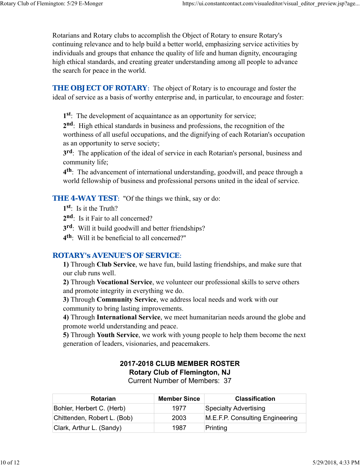Rotarians and Rotary clubs to accomplish the Object of Rotary to ensure Rotary's continuing relevance and to help build a better world, emphasizing service activities by individuals and groups that enhance the quality of life and human dignity, encouraging high ethical standards, and creating greater understanding among all people to advance the search for peace in the world.

**THE OBJECT OF ROTARY:** The object of Rotary is to encourage and foster the ideal of service as a basis of worthy enterprise and, in particular, to encourage and foster:

**1st**: The development of acquaintance as an opportunity for service;

**2nd**: High ethical standards in business and professions, the recognition of the worthiness of all useful occupations, and the dignifying of each Rotarian's occupation as an opportunity to serve society;

**3rd**: The application of the ideal of service in each Rotarian's personal, business and community life;

**4th**: The advancement of international understanding, goodwill, and peace through a world fellowship of business and professional persons united in the ideal of service.

**THE 4-WAY TEST:** "Of the things we think, say or do:

- **1st**: Is it the Truth?
- 2<sup>nd</sup>: Is it Fair to all concerned?
- **3rd**: Will it build goodwill and better friendships?
- **4th**: Will it be beneficial to all concerned?"

#### *ROTARY's AVENUE'S OF SERVICE*:

**1)** Through **Club Service**, we have fun, build lasting friendships, and make sure that our club runs well.

**2)** Through **Vocational Service**, we volunteer our professional skills to serve others and promote integrity in everything we do.

**3)** Through **Community Service**, we address local needs and work with our community to bring lasting improvements.

**4)** Through **International Service**, we meet humanitarian needs around the globe and promote world understanding and peace.

**5)** Through **Youth Service**, we work with young people to help them become the next generation of leaders, visionaries, and peacemakers.

# **2017-2018 CLUB MEMBER ROSTER Rotary Club of Flemington, NJ**

Current Number of Members: 37

| <b>Rotarian</b>             | <b>Member Since</b> | <b>Classification</b>           |
|-----------------------------|---------------------|---------------------------------|
| Bohler, Herbert C. (Herb)   | 1977                | Specialty Advertising           |
| Chittenden, Robert L. (Bob) | 2003                | M.E.F.P. Consulting Engineering |
| Clark, Arthur L. (Sandy)    | 1987                | Printing                        |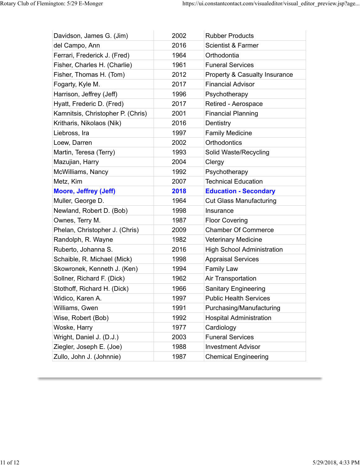| Davidson, James G. (Jim)          | 2002 | <b>Rubber Products</b>                   |
|-----------------------------------|------|------------------------------------------|
| del Campo, Ann                    | 2016 | <b>Scientist &amp; Farmer</b>            |
| Ferrari, Frederick J. (Fred)      | 1964 | Orthodontia                              |
| Fisher, Charles H. (Charlie)      | 1961 | <b>Funeral Services</b>                  |
| Fisher, Thomas H. (Tom)           | 2012 | <b>Property &amp; Casualty Insurance</b> |
| Fogarty, Kyle M.                  | 2017 | <b>Financial Advisor</b>                 |
| Harrison, Jeffrey (Jeff)          | 1996 | Psychotherapy                            |
| Hyatt, Frederic D. (Fred)         | 2017 | Retired - Aerospace                      |
| Kamnitsis, Christopher P. (Chris) | 2001 | <b>Financial Planning</b>                |
| Kritharis, Nikolaos (Nik)         | 2016 | Dentistry                                |
| Liebross, Ira                     | 1997 | <b>Family Medicine</b>                   |
| Loew, Darren                      | 2002 | Orthodontics                             |
| Martin, Teresa (Terry)            | 1993 | Solid Waste/Recycling                    |
| Mazujian, Harry                   | 2004 | Clergy                                   |
| McWilliams, Nancy                 | 1992 | Psychotherapy                            |
| Metz, Kim                         | 2007 | <b>Technical Education</b>               |
| <b>Moore, Jeffrey (Jeff)</b>      | 2018 | <b>Education - Secondary</b>             |
| Muller, George D.                 | 1964 | <b>Cut Glass Manufacturing</b>           |
| Newland, Robert D. (Bob)          | 1998 | Insurance                                |
| Ownes, Terry M.                   | 1987 | <b>Floor Covering</b>                    |
| Phelan, Christopher J. (Chris)    | 2009 | <b>Chamber Of Commerce</b>               |
| Randolph, R. Wayne                | 1982 | <b>Veterinary Medicine</b>               |
| Ruberto, Johanna S.               | 2016 | <b>High School Administration</b>        |
| Schaible, R. Michael (Mick)       | 1998 | <b>Appraisal Services</b>                |
| Skowronek, Kenneth J. (Ken)       | 1994 | <b>Family Law</b>                        |
| Sollner, Richard F. (Dick)        | 1962 | Air Transportation                       |
| Stothoff, Richard H. (Dick)       | 1966 | <b>Sanitary Engineering</b>              |
| Widico, Karen A.                  | 1997 | <b>Public Health Services</b>            |
| Williams, Gwen                    | 1991 | Purchasing/Manufacturing                 |
| Wise, Robert (Bob)                | 1992 | <b>Hospital Administration</b>           |
| Woske, Harry                      | 1977 | Cardiology                               |
| Wright, Daniel J. (D.J.)          | 2003 | <b>Funeral Services</b>                  |
| Ziegler, Joseph E. (Joe)          | 1988 | <b>Investment Advisor</b>                |
|                                   |      |                                          |